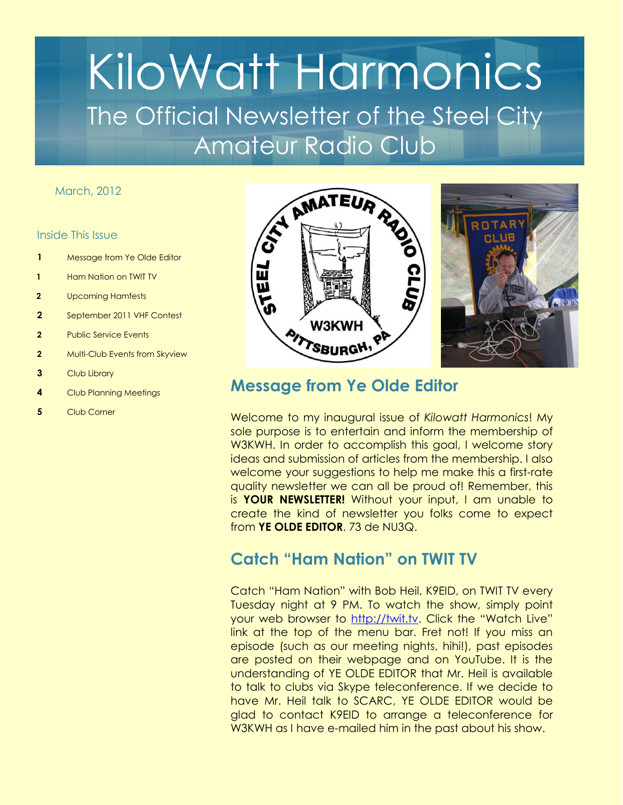# KiloWatt Harmonics The Official Newsletter of the Steel City

#### March, 2012

#### Inside This Issue

- **1** Message from Ye Olde Editor
- **1** Ham Nation on TWIT TV
- **2** Upcoming Hamfests
- **2** September 2011 VHF Contest
- **2** Public Service Events
- **2** Multi-Club Events from Skyview
- **3** Club Library
- **4** Club Planning Meetings
- **5** Club Corner



# **Message from Ye Olde Editor**

Welcome to my inaugural issue of *Kilowatt Harmonics*! My sole purpose is to entertain and inform the membership of W3KWH. In order to accomplish this goal, I welcome story ideas and submission of articles from the membership. I also welcome your suggestions to help me make this a first-rate quality newsletter we can all be proud of! Remember, this is **YOUR NEWSLETTER!** Without your input, I am unable to create the kind of newsletter you folks come to expect from **YE OLDE EDITOR**. 73 de NU3Q.

# **Catch "Ham Nation" on TWIT TV**

Catch "Ham Nation" with Bob Heil, K9EID, on TWIT TV every Tuesday night at 9 PM. To watch the show, simply point your web browser to [http://twit.tv](http://twit.tv/). Click the "Watch Live" link at the top of the menu bar. Fret not! If you miss an episode (such as our meeting nights, hihi!), past episodes are posted on their webpage and on YouTube. It is the understanding of YE OLDE EDITOR that Mr. Heil is available to talk to clubs via Skype teleconference. If we decide to have Mr. Heil talk to SCARC, YE OLDE EDITOR would be glad to contact K9EID to arrange a teleconference for W3KWH as I have e-mailed him in the past about his show.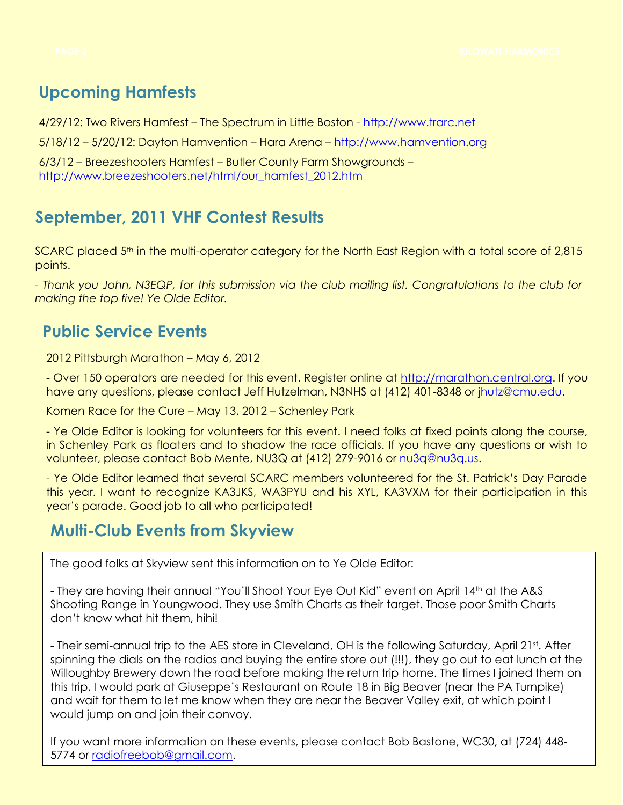# **Upcoming Hamfests**

4/29/12: Two Rivers Hamfest – The Spectrum in Little Boston - [http://www.trarc.net](http://www.trarc.net/)

5/18/12 – 5/20/12: Dayton Hamvention – Hara Arena – [http://www.hamvention.org](http://www.hamvention.org/)

6/3/12 – Breezeshooters Hamfest – Butler County Farm Showgrounds – [http://www.breezeshooters.net/html/our\\_hamfest\\_2012.htm](http://www.breezeshooters.net/html/our_hamfest_2012.htm)

# **September, 2011 VHF Contest Results**

SCARC placed 5<sup>th</sup> in the multi-operator category for the North East Region with a total score of 2,815 points.

*- Thank you John, N3EQP, for this submission via the club mailing list. Congratulations to the club for making the top five! Ye Olde Editor.*

## **Public Service Events**

2012 Pittsburgh Marathon – May 6, 2012

- Over 150 operators are needed for this event. Register online at [http://marathon.central.org.](http://marathon.central.org/) If you have any questions, please contact Jeff Hutzelman, N3NHS at (412) 401-8348 or [jhutz@cmu.edu.](mailto:jhutz@cmu.edu)

Komen Race for the Cure – May 13, 2012 – Schenley Park

- Ye Olde Editor is looking for volunteers for this event. I need folks at fixed points along the course, in Schenley Park as floaters and to shadow the race officials. If you have any questions or wish to volunteer, please contact Bob Mente, NU3Q at (412) 279-9016 or [nu3q@nu3q.us.](mailto:nu3q@nu3q.us)

- Ye Olde Editor learned that several SCARC members volunteered for the St. Patrick's Day Parade this year. I want to recognize KA3JKS, WA3PYU and his XYL, KA3VXM for their participation in this year's parade. Good job to all who participated!

## **Multi-Club Events from Skyview**

The good folks at Skyview sent this information on to Ye Olde Editor:

- They are having their annual "You'll Shoot Your Eye Out Kid" event on April 14<sup>th</sup> at the A&S Shooting Range in Youngwood. They use Smith Charts as their target. Those poor Smith Charts don't know what hit them, hihi!

- Their semi-annual trip to the AES store in Cleveland, OH is the following Saturday, April 21st. After spinning the dials on the radios and buying the entire store out (!!!), they go out to eat lunch at the Willoughby Brewery down the road before making the return trip home. The times I joined them on this trip, I would park at Giuseppe's Restaurant on Route 18 in Big Beaver (near the PA Turnpike) and wait for them to let me know when they are near the Beaver Valley exit, at which point I would jump on and join their convoy.

If you want more information on these events, please contact Bob Bastone, WC30, at (724) 448- 5774 or [radiofreebob@gmail.com.](mailto:radiofreebob@gmail.com)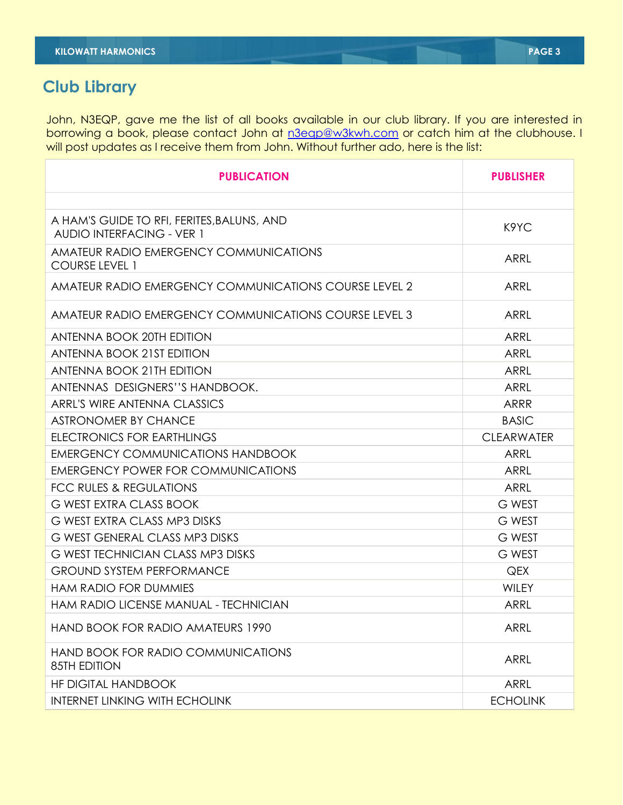# **Club Library**

John, N3EQP, gave me the list of all books available in our club library. If you are interested in borrowing a book, please contact John at [n3eqp@w3kwh.com](mailto:n3eqp@w3kwh.com) or catch him at the clubhouse. I will post updates as I receive them from John. Without further ado, here is the list:

| <b>PUBLICATION</b>                                                             | <b>PUBLISHER</b>  |
|--------------------------------------------------------------------------------|-------------------|
|                                                                                |                   |
| A HAM'S GUIDE TO RFI, FERITES, BALUNS, AND<br><b>AUDIO INTERFACING - VER 1</b> | K9YC              |
| AMATEUR RADIO EMERGENCY COMMUNICATIONS<br><b>COURSE LEVEL 1</b>                | ARRL              |
| AMATEUR RADIO EMERGENCY COMMUNICATIONS COURSE LEVEL 2                          | ARRL              |
| AMATEUR RADIO EMERGENCY COMMUNICATIONS COURSE LEVEL 3                          | ARRL              |
| <b>ANTENNA BOOK 20TH EDITION</b>                                               | ARRL              |
| <b>ANTENNA BOOK 21ST EDITION</b>                                               | ARRL              |
| <b>ANTENNA BOOK 21TH EDITION</b>                                               | ARRL              |
| ANTENNAS DESIGNERS''S HANDBOOK.                                                | ARRL              |
| ARRL'S WIRE ANTENNA CLASSICS                                                   | <b>ARRR</b>       |
| <b>ASTRONOMER BY CHANCE</b>                                                    | <b>BASIC</b>      |
| ELECTRONICS FOR EARTHLINGS                                                     | <b>CLEARWATER</b> |
| <b>EMERGENCY COMMUNICATIONS HANDBOOK</b>                                       | ARRL              |
| <b>EMERGENCY POWER FOR COMMUNICATIONS</b>                                      | ARRL              |
| <b>FCC RULES &amp; REGULATIONS</b>                                             | ARRL              |
| <b>G WEST EXTRA CLASS BOOK</b>                                                 | <b>G WEST</b>     |
| <b>G WEST EXTRA CLASS MP3 DISKS</b>                                            | G WEST            |
| <b>G WEST GENERAL CLASS MP3 DISKS</b>                                          | <b>G WEST</b>     |
| <b>G WEST TECHNICIAN CLASS MP3 DISKS</b>                                       | <b>G WEST</b>     |
| <b>GROUND SYSTEM PERFORMANCE</b>                                               | <b>QEX</b>        |
| <b>HAM RADIO FOR DUMMIES</b>                                                   | <b>WILEY</b>      |
| HAM RADIO LICENSE MANUAL - TECHNICIAN                                          | ARRL              |
| HAND BOOK FOR RADIO AMATEURS 1990                                              | <b>ARRL</b>       |
| HAND BOOK FOR RADIO COMMUNICATIONS<br><b>85TH EDITION</b>                      | ARRL              |
| <b>HF DIGITAL HANDBOOK</b>                                                     | ARRL              |
| <b>INTERNET LINKING WITH ECHOLINK</b>                                          | <b>ECHOLINK</b>   |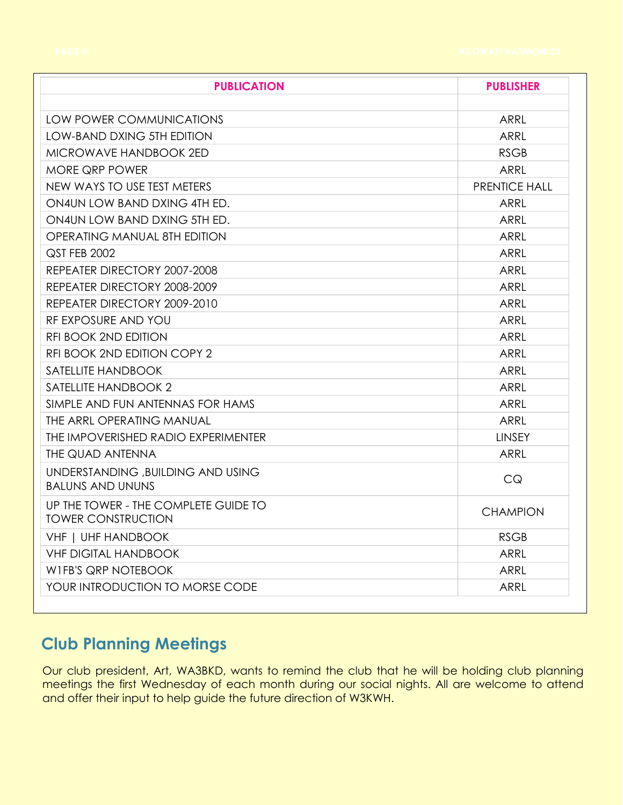| <b>PUBLICATION</b>                                                | <b>PUBLISHER</b>     |
|-------------------------------------------------------------------|----------------------|
|                                                                   |                      |
| LOW POWER COMMUNICATIONS                                          | <b>ARRL</b>          |
| <b>LOW-BAND DXING 5TH EDITION</b>                                 | <b>ARRL</b>          |
| MICROWAVE HANDBOOK 2ED                                            | <b>RSGB</b>          |
| <b>MORE QRP POWER</b>                                             | ARRL                 |
| NEW WAYS TO USE TEST METERS                                       | <b>PRENTICE HALL</b> |
| ON4UN LOW BAND DXING 4TH ED.                                      | ARRL                 |
| ON4UN LOW BAND DXING 5TH ED.                                      | ARRL                 |
| OPERATING MANUAL 8TH EDITION                                      | <b>ARRL</b>          |
| <b>QST FEB 2002</b>                                               | <b>ARRL</b>          |
| REPEATER DIRECTORY 2007-2008                                      | ARRL                 |
| REPEATER DIRECTORY 2008-2009                                      | <b>ARRL</b>          |
| REPEATER DIRECTORY 2009-2010                                      | <b>ARRL</b>          |
| RF EXPOSURE AND YOU                                               | <b>ARRL</b>          |
| <b>RFI BOOK 2ND EDITION</b>                                       | <b>ARRL</b>          |
| RFI BOOK 2ND EDITION COPY 2                                       | <b>ARRL</b>          |
| SATELLITE HANDBOOK                                                | <b>ARRL</b>          |
| <b>SATELLITE HANDBOOK 2</b>                                       | <b>ARRL</b>          |
| SIMPLE AND FUN ANTENNAS FOR HAMS                                  | <b>ARRL</b>          |
| THE ARRL OPERATING MANUAL                                         | ARRL                 |
| THE IMPOVERISHED RADIO EXPERIMENTER                               | <b>LINSEY</b>        |
| THE QUAD ANTENNA                                                  | <b>ARRL</b>          |
| UNDERSTANDING, BUILDING AND USING<br><b>BALUNS AND UNUNS</b>      | CQ                   |
| UP THE TOWER - THE COMPLETE GUIDE TO<br><b>TOWER CONSTRUCTION</b> | <b>CHAMPION</b>      |
| VHF   UHF HANDBOOK                                                | <b>RSGB</b>          |
| <b>VHF DIGITAL HANDBOOK</b>                                       | ARRL                 |
| WIFB'S QRP NOTEBOOK                                               | <b>ARRL</b>          |
| YOUR INTRODUCTION TO MORSE CODE                                   | <b>ARRL</b>          |

# **Club Planning Meetings**

Our club president, Art, WA3BKD, wants to remind the club that he will be holding club planning meetings the first Wednesday of each month during our social nights. All are welcome to attend and offer their input to help guide the future direction of W3KWH.